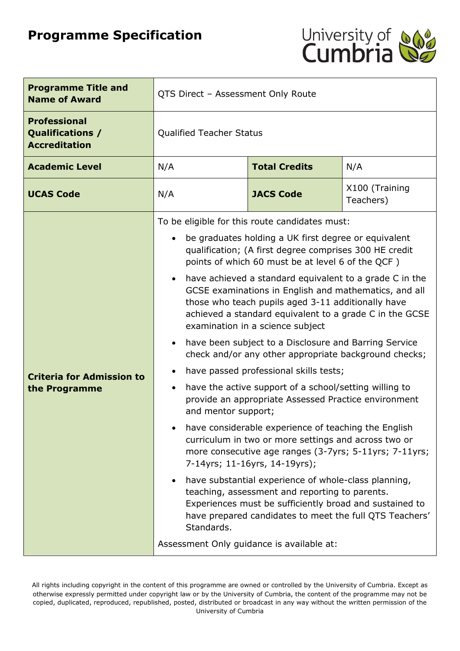# **Programme Specification**



| <b>Programme Title and</b><br><b>Name of Award</b>              | QTS Direct - Assessment Only Route                                                                                                                                                                                                                                                                                                                                                                                                                                                                                                                                                                                                                                                                                                                                                                                                                                                                                                                                                                                                                                                                                                                                                                                                                                                                                     |                  |                             |
|-----------------------------------------------------------------|------------------------------------------------------------------------------------------------------------------------------------------------------------------------------------------------------------------------------------------------------------------------------------------------------------------------------------------------------------------------------------------------------------------------------------------------------------------------------------------------------------------------------------------------------------------------------------------------------------------------------------------------------------------------------------------------------------------------------------------------------------------------------------------------------------------------------------------------------------------------------------------------------------------------------------------------------------------------------------------------------------------------------------------------------------------------------------------------------------------------------------------------------------------------------------------------------------------------------------------------------------------------------------------------------------------------|------------------|-----------------------------|
| <b>Professional</b><br>Qualifications /<br><b>Accreditation</b> | <b>Qualified Teacher Status</b>                                                                                                                                                                                                                                                                                                                                                                                                                                                                                                                                                                                                                                                                                                                                                                                                                                                                                                                                                                                                                                                                                                                                                                                                                                                                                        |                  |                             |
| <b>Academic Level</b>                                           | <b>Total Credits</b><br>N/A<br>N/A                                                                                                                                                                                                                                                                                                                                                                                                                                                                                                                                                                                                                                                                                                                                                                                                                                                                                                                                                                                                                                                                                                                                                                                                                                                                                     |                  |                             |
| <b>UCAS Code</b>                                                | N/A                                                                                                                                                                                                                                                                                                                                                                                                                                                                                                                                                                                                                                                                                                                                                                                                                                                                                                                                                                                                                                                                                                                                                                                                                                                                                                                    | <b>JACS Code</b> | X100 (Training<br>Teachers) |
| <b>Criteria for Admission to</b><br>the Programme               | To be eligible for this route candidates must:<br>be graduates holding a UK first degree or equivalent<br>qualification; (A first degree comprises 300 HE credit<br>points of which 60 must be at level 6 of the QCF)<br>have achieved a standard equivalent to a grade C in the<br>GCSE examinations in English and mathematics, and all<br>those who teach pupils aged 3-11 additionally have<br>achieved a standard equivalent to a grade C in the GCSE<br>examination in a science subject<br>have been subject to a Disclosure and Barring Service<br>check and/or any other appropriate background checks;<br>have passed professional skills tests;<br>have the active support of a school/setting willing to<br>$\bullet$<br>provide an appropriate Assessed Practice environment<br>and mentor support;<br>have considerable experience of teaching the English<br>curriculum in two or more settings and across two or<br>more consecutive age ranges (3-7yrs; 5-11yrs; 7-11yrs;<br>7-14yrs; 11-16yrs, 14-19yrs);<br>have substantial experience of whole-class planning,<br>teaching, assessment and reporting to parents.<br>Experiences must be sufficiently broad and sustained to<br>have prepared candidates to meet the full QTS Teachers'<br>Standards.<br>Assessment Only guidance is available at: |                  |                             |

All rights including copyright in the content of this programme are owned or controlled by the University of Cumbria. Except as otherwise expressly permitted under copyright law or by the University of Cumbria, the content of the programme may not be copied, duplicated, reproduced, republished, posted, distributed or broadcast in any way without the written permission of the University of Cumbria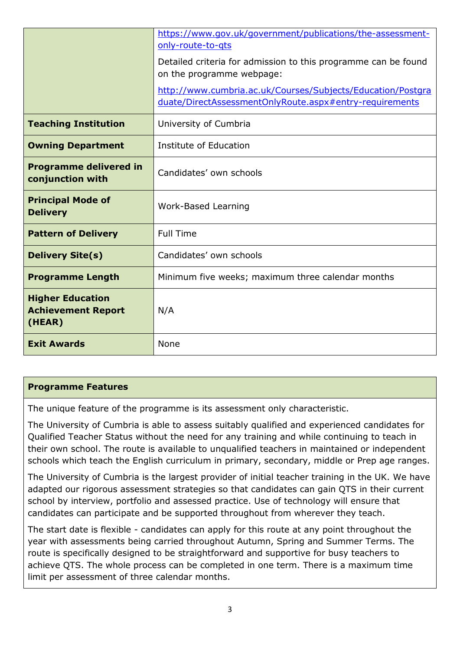|                                                                | https://www.gov.uk/government/publications/the-assessment-<br>only-route-to-gts                                        |
|----------------------------------------------------------------|------------------------------------------------------------------------------------------------------------------------|
|                                                                | Detailed criteria for admission to this programme can be found<br>on the programme webpage:                            |
|                                                                | http://www.cumbria.ac.uk/Courses/Subjects/Education/Postgra<br>duate/DirectAssessmentOnlyRoute.aspx#entry-requirements |
| <b>Teaching Institution</b>                                    | University of Cumbria                                                                                                  |
| <b>Owning Department</b>                                       | Institute of Education                                                                                                 |
| <b>Programme delivered in</b><br>conjunction with              | Candidates' own schools                                                                                                |
| <b>Principal Mode of</b><br><b>Delivery</b>                    | Work-Based Learning                                                                                                    |
| <b>Pattern of Delivery</b>                                     | <b>Full Time</b>                                                                                                       |
| <b>Delivery Site(s)</b>                                        | Candidates' own schools                                                                                                |
| <b>Programme Length</b>                                        | Minimum five weeks; maximum three calendar months                                                                      |
| <b>Higher Education</b><br><b>Achievement Report</b><br>(HEAR) | N/A                                                                                                                    |
| <b>Exit Awards</b>                                             | None                                                                                                                   |

#### **Programme Features**

The unique feature of the programme is its assessment only characteristic.

The University of Cumbria is able to assess suitably qualified and experienced candidates for Qualified Teacher Status without the need for any training and while continuing to teach in their own school. The route is available to unqualified teachers in maintained or independent schools which teach the English curriculum in primary, secondary, middle or Prep age ranges.

The University of Cumbria is the largest provider of initial teacher training in the UK. We have adapted our rigorous assessment strategies so that candidates can gain QTS in their current school by interview, portfolio and assessed practice. Use of technology will ensure that candidates can participate and be supported throughout from wherever they teach.

The start date is flexible - candidates can apply for this route at any point throughout the year with assessments being carried throughout Autumn, Spring and Summer Terms. The route is specifically designed to be straightforward and supportive for busy teachers to achieve QTS. The whole process can be completed in one term. There is a maximum time limit per assessment of three calendar months.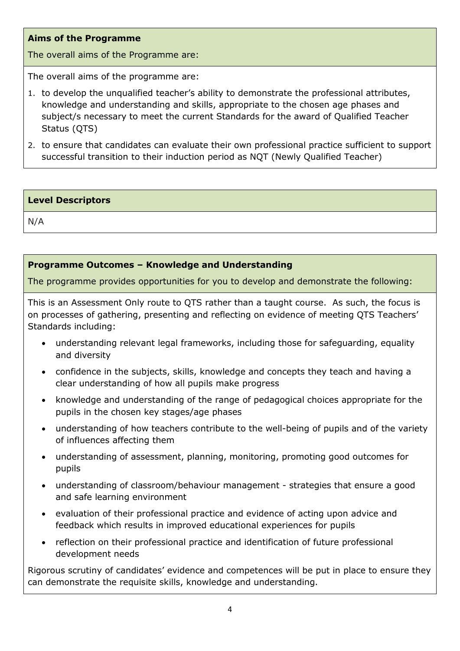### **Aims of the Programme**

The overall aims of the Programme are:

The overall aims of the programme are:

- 1. to develop the unqualified teacher's ability to demonstrate the professional attributes, knowledge and understanding and skills, appropriate to the chosen age phases and subject/s necessary to meet the current Standards for the award of Qualified Teacher Status (QTS)
- 2. to ensure that candidates can evaluate their own professional practice sufficient to support successful transition to their induction period as NQT (Newly Qualified Teacher)

#### **Level Descriptors**

N/A

## **Programme Outcomes – Knowledge and Understanding**

The programme provides opportunities for you to develop and demonstrate the following:

This is an Assessment Only route to QTS rather than a taught course. As such, the focus is on processes of gathering, presenting and reflecting on evidence of meeting QTS Teachers' Standards including:

- understanding relevant legal frameworks, including those for safeguarding, equality and diversity
- confidence in the subjects, skills, knowledge and concepts they teach and having a clear understanding of how all pupils make progress
- knowledge and understanding of the range of pedagogical choices appropriate for the pupils in the chosen key stages/age phases
- understanding of how teachers contribute to the well-being of pupils and of the variety of influences affecting them
- understanding of assessment, planning, monitoring, promoting good outcomes for pupils
- understanding of classroom/behaviour management strategies that ensure a good and safe learning environment
- evaluation of their professional practice and evidence of acting upon advice and feedback which results in improved educational experiences for pupils
- reflection on their professional practice and identification of future professional development needs

Rigorous scrutiny of candidates' evidence and competences will be put in place to ensure they can demonstrate the requisite skills, knowledge and understanding.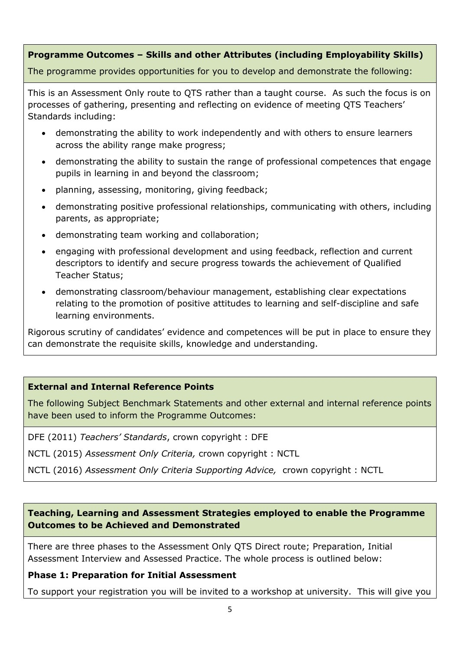## **Programme Outcomes – Skills and other Attributes (including Employability Skills)**

The programme provides opportunities for you to develop and demonstrate the following:

This is an Assessment Only route to QTS rather than a taught course. As such the focus is on processes of gathering, presenting and reflecting on evidence of meeting QTS Teachers' Standards including:

- demonstrating the ability to work independently and with others to ensure learners across the ability range make progress;
- demonstrating the ability to sustain the range of professional competences that engage pupils in learning in and beyond the classroom;
- planning, assessing, monitoring, giving feedback;
- demonstrating positive professional relationships, communicating with others, including parents, as appropriate;
- demonstrating team working and collaboration;
- engaging with professional development and using feedback, reflection and current descriptors to identify and secure progress towards the achievement of Qualified Teacher Status;
- demonstrating classroom/behaviour management, establishing clear expectations relating to the promotion of positive attitudes to learning and self-discipline and safe learning environments.

Rigorous scrutiny of candidates' evidence and competences will be put in place to ensure they can demonstrate the requisite skills, knowledge and understanding.

## **External and Internal Reference Points**

The following Subject Benchmark Statements and other external and internal reference points have been used to inform the Programme Outcomes:

DFE (2011) *Teachers' Standards*, crown copyright : DFE

NCTL (2015) *Assessment Only Criteria,* crown copyright : NCTL

NCTL (2016) *Assessment Only Criteria Supporting Advice,* crown copyright : NCTL

### **Teaching, Learning and Assessment Strategies employed to enable the Programme Outcomes to be Achieved and Demonstrated**

There are three phases to the Assessment Only QTS Direct route; Preparation, Initial Assessment Interview and Assessed Practice. The whole process is outlined below:

## **Phase 1: Preparation for Initial Assessment**

To support your registration you will be invited to a workshop at university. This will give you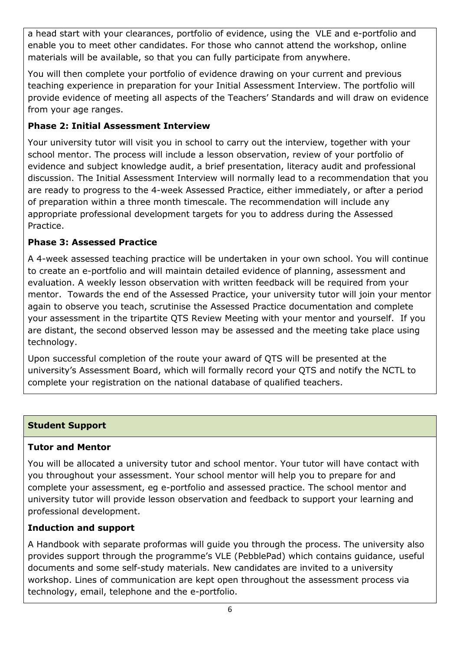a head start with your clearances, portfolio of evidence, using the VLE and e-portfolio and enable you to meet other candidates. For those who cannot attend the workshop, online materials will be available, so that you can fully participate from anywhere.

You will then complete your portfolio of evidence drawing on your current and previous teaching experience in preparation for your Initial Assessment Interview. The portfolio will provide evidence of meeting all aspects of the Teachers' Standards and will draw on evidence from your age ranges.

# **Phase 2: Initial Assessment Interview**

Your university tutor will visit you in school to carry out the interview, together with your school mentor. The process will include a lesson observation, review of your portfolio of evidence and subject knowledge audit, a brief presentation, literacy audit and professional discussion. The Initial Assessment Interview will normally lead to a recommendation that you are ready to progress to the 4-week Assessed Practice, either immediately, or after a period of preparation within a three month timescale. The recommendation will include any appropriate professional development targets for you to address during the Assessed Practice.

# **Phase 3: Assessed Practice**

A 4-week assessed teaching practice will be undertaken in your own school. You will continue to create an e-portfolio and will maintain detailed evidence of planning, assessment and evaluation. A weekly lesson observation with written feedback will be required from your mentor. Towards the end of the Assessed Practice, your university tutor will join your mentor again to observe you teach, scrutinise the Assessed Practice documentation and complete your assessment in the tripartite QTS Review Meeting with your mentor and yourself. If you are distant, the second observed lesson may be assessed and the meeting take place using technology.

Upon successful completion of the route your award of QTS will be presented at the university's Assessment Board, which will formally record your QTS and notify the NCTL to complete your registration on the national database of qualified teachers.

## **Student Support**

## **Tutor and Mentor**

You will be allocated a university tutor and school mentor. Your tutor will have contact with you throughout your assessment. Your school mentor will help you to prepare for and complete your assessment, eg e-portfolio and assessed practice. The school mentor and university tutor will provide lesson observation and feedback to support your learning and professional development.

# **Induction and support**

A Handbook with separate proformas will guide you through the process. The university also provides support through the programme's VLE (PebblePad) which contains guidance, useful documents and some self-study materials. New candidates are invited to a university workshop. Lines of communication are kept open throughout the assessment process via technology, email, telephone and the e-portfolio.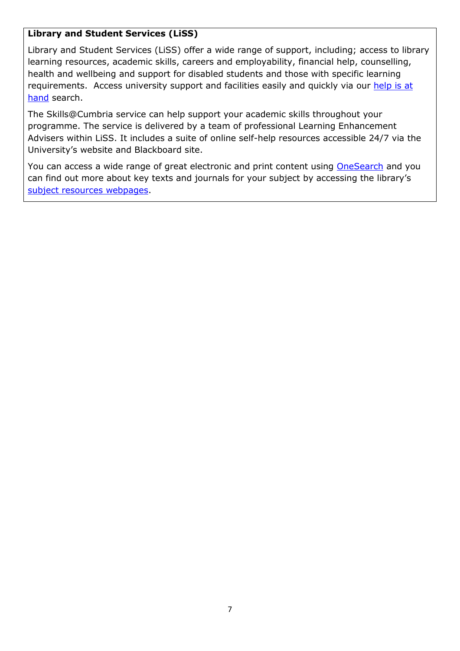#### **Library and Student Services (LiSS)**

Library and Student Services (LiSS) offer a wide range of support, including; access to library learning resources, academic skills, careers and employability, financial help, counselling, health and wellbeing and support for disabled students and those with specific learning requirements. Access university support and facilities easily and quickly via our [help is at](http://www.cumbria.ac.uk/StudentLife/Support/Helpisathand.aspx) [hand](http://www.cumbria.ac.uk/StudentLife/Support/Helpisathand.aspx) search.

The Skills@Cumbria service can help support your academic skills throughout your programme. The service is delivered by a team of professional Learning Enhancement Advisers within LiSS. It includes a suite of online self-help resources accessible 24/7 via the University's website and Blackboard site.

You can access a wide range of great electronic and print content using [OneSearch](http://cumbria-primo.hosted.exlibrisgroup.com/primo_library/libweb/action/search.do?vid=44UOC_VU1) and you can find out more about key texts and journals for your subject by accessing the library's [subject resources webpages.](http://www.cumbria.ac.uk/StudentLife/Learning/Resources/Subjects/Home.aspx)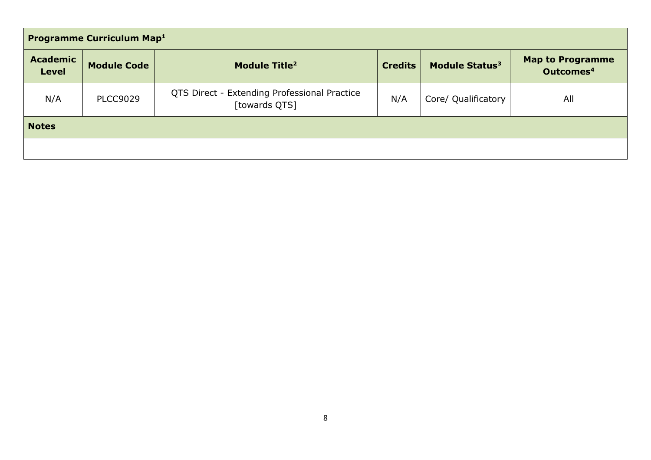| <b>Programme Curriculum Map1</b> |                    |                                                               |                |                            |                                                  |
|----------------------------------|--------------------|---------------------------------------------------------------|----------------|----------------------------|--------------------------------------------------|
| <b>Academic</b><br><b>Level</b>  | <b>Module Code</b> | Module Title <sup>2</sup>                                     | <b>Credits</b> | Module Status <sup>3</sup> | <b>Map to Programme</b><br>Outcomes <sup>4</sup> |
| N/A                              | <b>PLCC9029</b>    | QTS Direct - Extending Professional Practice<br>[towards QTS] | N/A            | Core/ Qualificatory        | All                                              |
| <b>Notes</b>                     |                    |                                                               |                |                            |                                                  |
|                                  |                    |                                                               |                |                            |                                                  |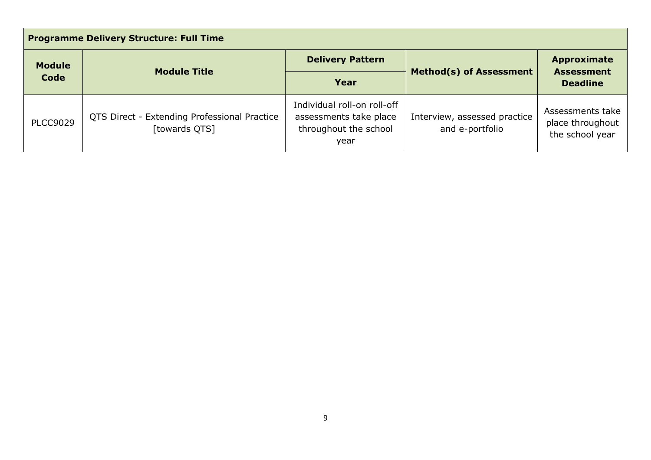| <b>Programme Delivery Structure: Full Time</b> |                                                               |                                                                                        |                                                 |                                                            |
|------------------------------------------------|---------------------------------------------------------------|----------------------------------------------------------------------------------------|-------------------------------------------------|------------------------------------------------------------|
| <b>Module</b><br>Code                          | <b>Module Title</b>                                           | <b>Delivery Pattern</b>                                                                |                                                 | <b>Approximate</b><br><b>Assessment</b><br><b>Deadline</b> |
|                                                |                                                               | Year                                                                                   | <b>Method(s) of Assessment</b>                  |                                                            |
| <b>PLCC9029</b>                                | QTS Direct - Extending Professional Practice<br>[towards QTS] | Individual roll-on roll-off<br>assessments take place<br>throughout the school<br>year | Interview, assessed practice<br>and e-portfolio | Assessments take<br>place throughout<br>the school year    |